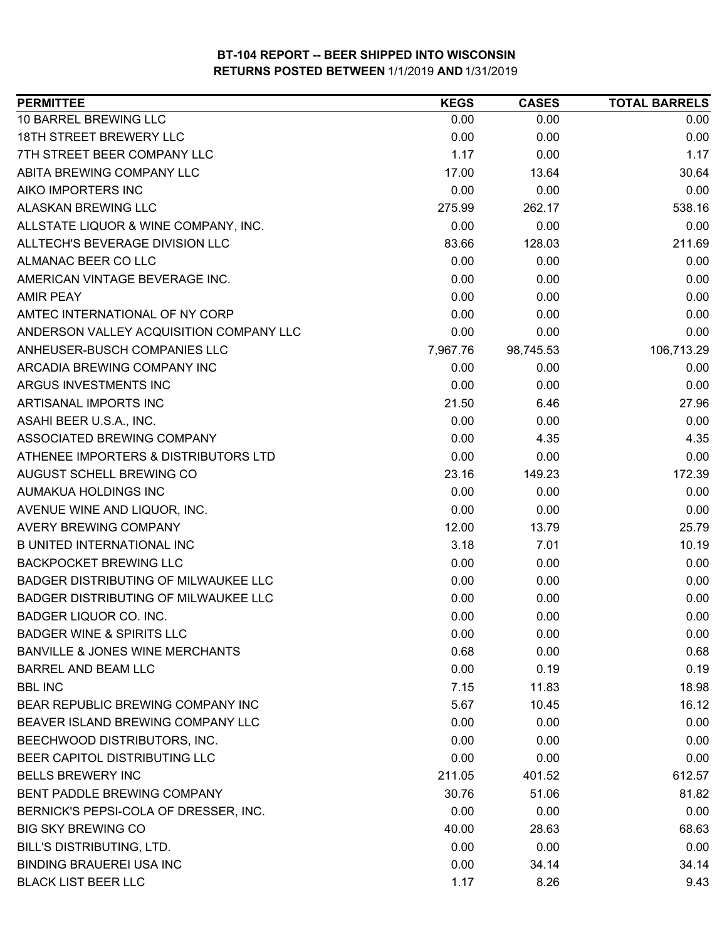| <b>PERMITTEE</b>                            | <b>KEGS</b> | <b>CASES</b> | <b>TOTAL BARRELS</b> |
|---------------------------------------------|-------------|--------------|----------------------|
| 10 BARREL BREWING LLC                       | 0.00        | 0.00         | 0.00                 |
| 18TH STREET BREWERY LLC                     | 0.00        | 0.00         | 0.00                 |
| 7TH STREET BEER COMPANY LLC                 | 1.17        | 0.00         | 1.17                 |
| ABITA BREWING COMPANY LLC                   | 17.00       | 13.64        | 30.64                |
| AIKO IMPORTERS INC                          | 0.00        | 0.00         | 0.00                 |
| ALASKAN BREWING LLC                         | 275.99      | 262.17       | 538.16               |
| ALLSTATE LIQUOR & WINE COMPANY, INC.        | 0.00        | 0.00         | 0.00                 |
| ALLTECH'S BEVERAGE DIVISION LLC             | 83.66       | 128.03       | 211.69               |
| ALMANAC BEER CO LLC                         | 0.00        | 0.00         | 0.00                 |
| AMERICAN VINTAGE BEVERAGE INC.              | 0.00        | 0.00         | 0.00                 |
| <b>AMIR PEAY</b>                            | 0.00        | 0.00         | 0.00                 |
| AMTEC INTERNATIONAL OF NY CORP              | 0.00        | 0.00         | 0.00                 |
| ANDERSON VALLEY ACQUISITION COMPANY LLC     | 0.00        | 0.00         | 0.00                 |
| ANHEUSER-BUSCH COMPANIES LLC                | 7,967.76    | 98,745.53    | 106,713.29           |
| ARCADIA BREWING COMPANY INC                 | 0.00        | 0.00         | 0.00                 |
| ARGUS INVESTMENTS INC                       | 0.00        | 0.00         | 0.00                 |
| ARTISANAL IMPORTS INC                       | 21.50       | 6.46         | 27.96                |
| ASAHI BEER U.S.A., INC.                     | 0.00        | 0.00         | 0.00                 |
| ASSOCIATED BREWING COMPANY                  | 0.00        | 4.35         | 4.35                 |
| ATHENEE IMPORTERS & DISTRIBUTORS LTD        | 0.00        | 0.00         | 0.00                 |
| AUGUST SCHELL BREWING CO                    | 23.16       | 149.23       | 172.39               |
| AUMAKUA HOLDINGS INC                        | 0.00        | 0.00         | 0.00                 |
| AVENUE WINE AND LIQUOR, INC.                | 0.00        | 0.00         | 0.00                 |
| <b>AVERY BREWING COMPANY</b>                | 12.00       | 13.79        | 25.79                |
| <b>B UNITED INTERNATIONAL INC</b>           | 3.18        | 7.01         | 10.19                |
| <b>BACKPOCKET BREWING LLC</b>               | 0.00        | 0.00         | 0.00                 |
| BADGER DISTRIBUTING OF MILWAUKEE LLC        | 0.00        | 0.00         | 0.00                 |
| <b>BADGER DISTRIBUTING OF MILWAUKEE LLC</b> | 0.00        | 0.00         | 0.00                 |
| BADGER LIQUOR CO. INC.                      | 0.00        | 0.00         | 0.00                 |
| <b>BADGER WINE &amp; SPIRITS LLC</b>        | 0.00        | 0.00         | 0.00                 |
| <b>BANVILLE &amp; JONES WINE MERCHANTS</b>  | 0.68        | 0.00         | 0.68                 |
| <b>BARREL AND BEAM LLC</b>                  | 0.00        | 0.19         | 0.19                 |
| <b>BBL INC</b>                              | 7.15        | 11.83        | 18.98                |
| BEAR REPUBLIC BREWING COMPANY INC           | 5.67        | 10.45        | 16.12                |
| BEAVER ISLAND BREWING COMPANY LLC           | 0.00        | 0.00         | 0.00                 |
| BEECHWOOD DISTRIBUTORS, INC.                | 0.00        | 0.00         | 0.00                 |
| BEER CAPITOL DISTRIBUTING LLC               | 0.00        | 0.00         | 0.00                 |
| <b>BELLS BREWERY INC</b>                    | 211.05      | 401.52       | 612.57               |
| BENT PADDLE BREWING COMPANY                 | 30.76       | 51.06        | 81.82                |
| BERNICK'S PEPSI-COLA OF DRESSER, INC.       | 0.00        | 0.00         | 0.00                 |
| <b>BIG SKY BREWING CO</b>                   | 40.00       | 28.63        | 68.63                |
| <b>BILL'S DISTRIBUTING, LTD.</b>            | 0.00        | 0.00         | 0.00                 |
| <b>BINDING BRAUEREI USA INC</b>             | 0.00        | 34.14        | 34.14                |
| <b>BLACK LIST BEER LLC</b>                  | 1.17        | 8.26         | 9.43                 |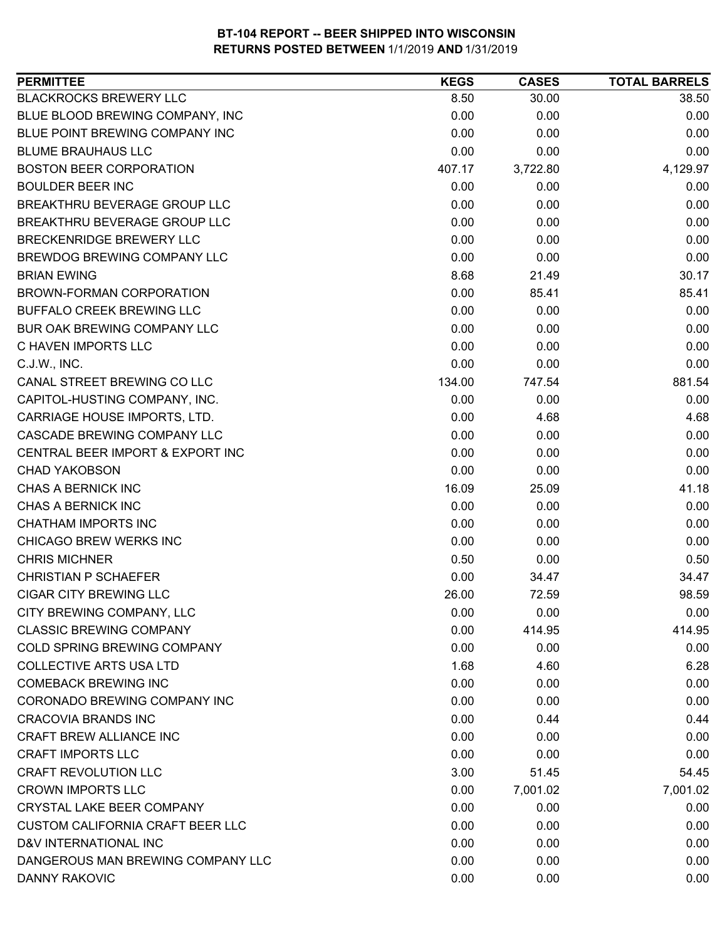| <b>PERMITTEE</b>                        | <b>KEGS</b> | <b>CASES</b> | <b>TOTAL BARRELS</b> |
|-----------------------------------------|-------------|--------------|----------------------|
| <b>BLACKROCKS BREWERY LLC</b>           | 8.50        | 30.00        | 38.50                |
| BLUE BLOOD BREWING COMPANY, INC         | 0.00        | 0.00         | 0.00                 |
| BLUE POINT BREWING COMPANY INC          | 0.00        | 0.00         | 0.00                 |
| <b>BLUME BRAUHAUS LLC</b>               | 0.00        | 0.00         | 0.00                 |
| <b>BOSTON BEER CORPORATION</b>          | 407.17      | 3,722.80     | 4,129.97             |
| <b>BOULDER BEER INC</b>                 | 0.00        | 0.00         | 0.00                 |
| BREAKTHRU BEVERAGE GROUP LLC            | 0.00        | 0.00         | 0.00                 |
| BREAKTHRU BEVERAGE GROUP LLC            | 0.00        | 0.00         | 0.00                 |
| <b>BRECKENRIDGE BREWERY LLC</b>         | 0.00        | 0.00         | 0.00                 |
| BREWDOG BREWING COMPANY LLC             | 0.00        | 0.00         | 0.00                 |
| <b>BRIAN EWING</b>                      | 8.68        | 21.49        | 30.17                |
| BROWN-FORMAN CORPORATION                | 0.00        | 85.41        | 85.41                |
| <b>BUFFALO CREEK BREWING LLC</b>        | 0.00        | 0.00         | 0.00                 |
| BUR OAK BREWING COMPANY LLC             | 0.00        | 0.00         | 0.00                 |
| C HAVEN IMPORTS LLC                     | 0.00        | 0.00         | 0.00                 |
| C.J.W., INC.                            | 0.00        | 0.00         | 0.00                 |
| CANAL STREET BREWING CO LLC             | 134.00      | 747.54       | 881.54               |
| CAPITOL-HUSTING COMPANY, INC.           | 0.00        | 0.00         | 0.00                 |
| CARRIAGE HOUSE IMPORTS, LTD.            | 0.00        | 4.68         | 4.68                 |
| CASCADE BREWING COMPANY LLC             | 0.00        | 0.00         | 0.00                 |
| CENTRAL BEER IMPORT & EXPORT INC        | 0.00        | 0.00         | 0.00                 |
| <b>CHAD YAKOBSON</b>                    | 0.00        | 0.00         | 0.00                 |
| CHAS A BERNICK INC                      | 16.09       | 25.09        | 41.18                |
| CHAS A BERNICK INC                      | 0.00        | 0.00         | 0.00                 |
| <b>CHATHAM IMPORTS INC</b>              | 0.00        | 0.00         | 0.00                 |
| CHICAGO BREW WERKS INC                  | 0.00        | 0.00         | 0.00                 |
| <b>CHRIS MICHNER</b>                    | 0.50        | 0.00         | 0.50                 |
| <b>CHRISTIAN P SCHAEFER</b>             | 0.00        | 34.47        | 34.47                |
| <b>CIGAR CITY BREWING LLC</b>           | 26.00       | 72.59        | 98.59                |
| CITY BREWING COMPANY, LLC               | 0.00        | 0.00         | 0.00                 |
| <b>CLASSIC BREWING COMPANY</b>          | 0.00        | 414.95       | 414.95               |
| COLD SPRING BREWING COMPANY             | 0.00        | 0.00         | 0.00                 |
| <b>COLLECTIVE ARTS USA LTD</b>          | 1.68        | 4.60         | 6.28                 |
| <b>COMEBACK BREWING INC</b>             | 0.00        | 0.00         | 0.00                 |
| CORONADO BREWING COMPANY INC            | 0.00        | 0.00         | 0.00                 |
| <b>CRACOVIA BRANDS INC</b>              | 0.00        | 0.44         | 0.44                 |
| CRAFT BREW ALLIANCE INC                 | 0.00        | 0.00         | 0.00                 |
| <b>CRAFT IMPORTS LLC</b>                | 0.00        | 0.00         | 0.00                 |
| <b>CRAFT REVOLUTION LLC</b>             | 3.00        | 51.45        | 54.45                |
| <b>CROWN IMPORTS LLC</b>                | 0.00        | 7,001.02     | 7,001.02             |
| CRYSTAL LAKE BEER COMPANY               | 0.00        | 0.00         | 0.00                 |
| <b>CUSTOM CALIFORNIA CRAFT BEER LLC</b> | 0.00        | 0.00         | 0.00                 |
| D&V INTERNATIONAL INC                   | 0.00        | 0.00         | 0.00                 |
| DANGEROUS MAN BREWING COMPANY LLC       | 0.00        | 0.00         | 0.00                 |
| <b>DANNY RAKOVIC</b>                    | 0.00        | 0.00         | 0.00                 |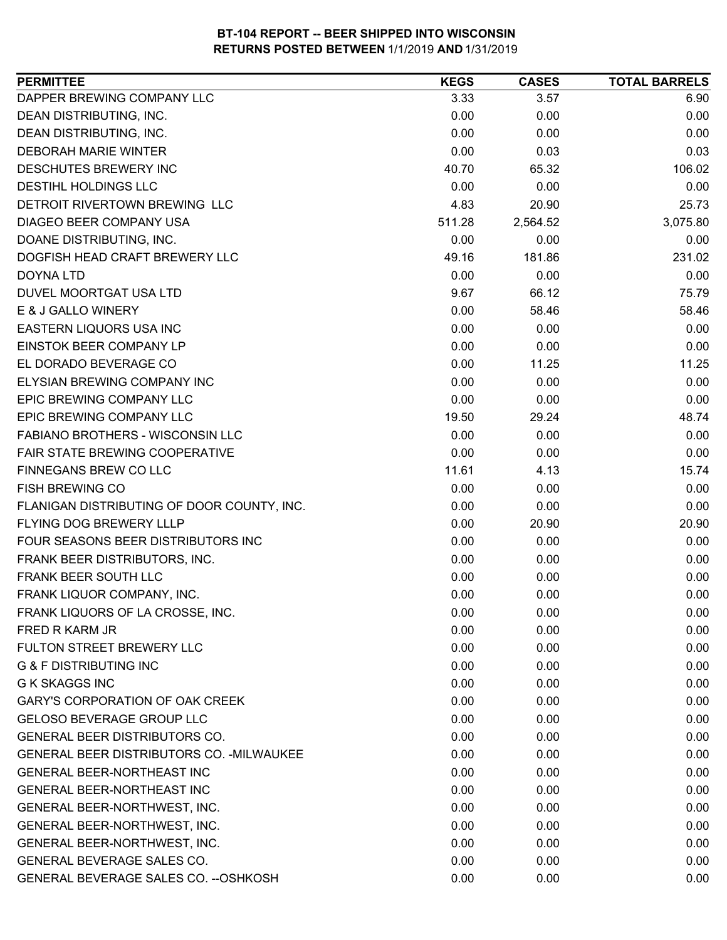| <b>PERMITTEE</b>                           | <b>KEGS</b> | <b>CASES</b> | <b>TOTAL BARRELS</b> |
|--------------------------------------------|-------------|--------------|----------------------|
| DAPPER BREWING COMPANY LLC                 | 3.33        | 3.57         | 6.90                 |
| DEAN DISTRIBUTING, INC.                    | 0.00        | 0.00         | 0.00                 |
| DEAN DISTRIBUTING, INC.                    | 0.00        | 0.00         | 0.00                 |
| <b>DEBORAH MARIE WINTER</b>                | 0.00        | 0.03         | 0.03                 |
| DESCHUTES BREWERY INC                      | 40.70       | 65.32        | 106.02               |
| DESTIHL HOLDINGS LLC                       | 0.00        | 0.00         | 0.00                 |
| DETROIT RIVERTOWN BREWING LLC              | 4.83        | 20.90        | 25.73                |
| DIAGEO BEER COMPANY USA                    | 511.28      | 2,564.52     | 3,075.80             |
| DOANE DISTRIBUTING, INC.                   | 0.00        | 0.00         | 0.00                 |
| DOGFISH HEAD CRAFT BREWERY LLC             | 49.16       | 181.86       | 231.02               |
| <b>DOYNA LTD</b>                           | 0.00        | 0.00         | 0.00                 |
| DUVEL MOORTGAT USA LTD                     | 9.67        | 66.12        | 75.79                |
| E & J GALLO WINERY                         | 0.00        | 58.46        | 58.46                |
| EASTERN LIQUORS USA INC                    | 0.00        | 0.00         | 0.00                 |
| <b>EINSTOK BEER COMPANY LP</b>             | 0.00        | 0.00         | 0.00                 |
| EL DORADO BEVERAGE CO                      | 0.00        | 11.25        | 11.25                |
| ELYSIAN BREWING COMPANY INC                | 0.00        | 0.00         | 0.00                 |
| EPIC BREWING COMPANY LLC                   | 0.00        | 0.00         | 0.00                 |
| EPIC BREWING COMPANY LLC                   | 19.50       | 29.24        | 48.74                |
| <b>FABIANO BROTHERS - WISCONSIN LLC</b>    | 0.00        | 0.00         | 0.00                 |
| FAIR STATE BREWING COOPERATIVE             | 0.00        | 0.00         | 0.00                 |
| FINNEGANS BREW CO LLC                      | 11.61       | 4.13         | 15.74                |
| FISH BREWING CO                            | 0.00        | 0.00         | 0.00                 |
| FLANIGAN DISTRIBUTING OF DOOR COUNTY, INC. | 0.00        | 0.00         | 0.00                 |
| FLYING DOG BREWERY LLLP                    | 0.00        | 20.90        | 20.90                |
| FOUR SEASONS BEER DISTRIBUTORS INC         | 0.00        | 0.00         | 0.00                 |
| FRANK BEER DISTRIBUTORS, INC.              | 0.00        | 0.00         | 0.00                 |
| FRANK BEER SOUTH LLC                       | 0.00        | 0.00         | 0.00                 |
| FRANK LIQUOR COMPANY, INC.                 | 0.00        | 0.00         | 0.00                 |
| FRANK LIQUORS OF LA CROSSE, INC.           | 0.00        | 0.00         | 0.00                 |
| FRED R KARM JR                             | 0.00        | 0.00         | 0.00                 |
| FULTON STREET BREWERY LLC                  | 0.00        | 0.00         | 0.00                 |
| <b>G &amp; F DISTRIBUTING INC</b>          | 0.00        | 0.00         | 0.00                 |
| <b>G K SKAGGS INC</b>                      | 0.00        | 0.00         | 0.00                 |
| <b>GARY'S CORPORATION OF OAK CREEK</b>     | 0.00        | 0.00         | 0.00                 |
| <b>GELOSO BEVERAGE GROUP LLC</b>           | 0.00        | 0.00         | 0.00                 |
| <b>GENERAL BEER DISTRIBUTORS CO.</b>       | 0.00        | 0.00         | 0.00                 |
| GENERAL BEER DISTRIBUTORS CO. - MILWAUKEE  | 0.00        | 0.00         | 0.00                 |
| <b>GENERAL BEER-NORTHEAST INC</b>          | 0.00        | 0.00         | 0.00                 |
| GENERAL BEER-NORTHEAST INC                 | 0.00        | 0.00         | 0.00                 |
| GENERAL BEER-NORTHWEST, INC.               | 0.00        | 0.00         | 0.00                 |
| GENERAL BEER-NORTHWEST, INC.               | 0.00        | 0.00         | 0.00                 |
| GENERAL BEER-NORTHWEST, INC.               | 0.00        | 0.00         | 0.00                 |
| GENERAL BEVERAGE SALES CO.                 | 0.00        | 0.00         | 0.00                 |
| GENERAL BEVERAGE SALES CO. -- OSHKOSH      | 0.00        | 0.00         | 0.00                 |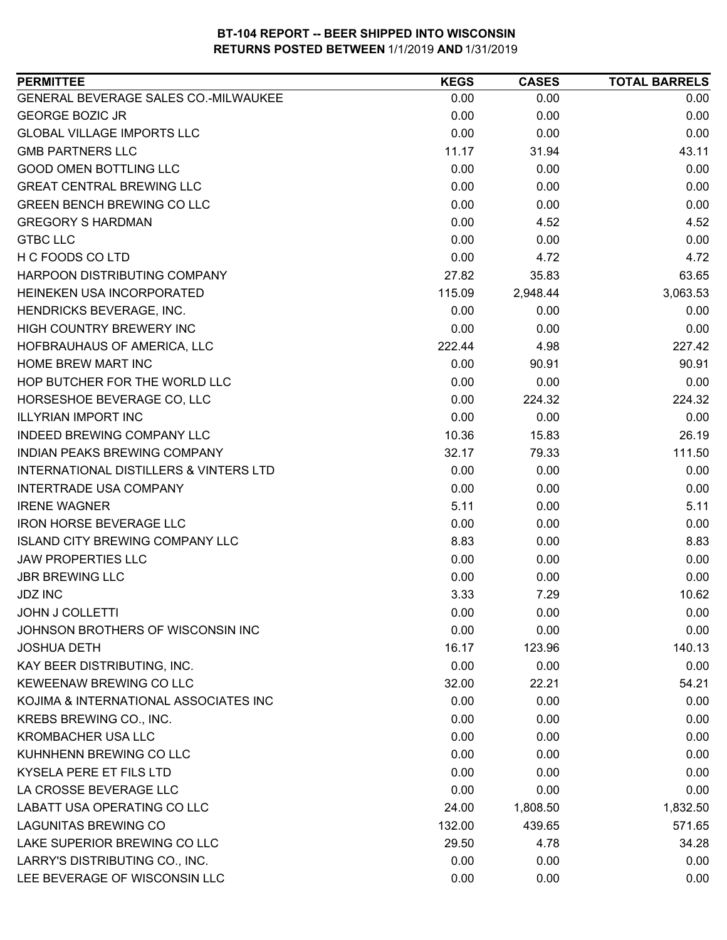| <b>PERMITTEE</b>                                  | <b>KEGS</b> | <b>CASES</b> | <b>TOTAL BARRELS</b> |
|---------------------------------------------------|-------------|--------------|----------------------|
| GENERAL BEVERAGE SALES CO.-MILWAUKEE              | 0.00        | 0.00         | 0.00                 |
| <b>GEORGE BOZIC JR</b>                            | 0.00        | 0.00         | 0.00                 |
| <b>GLOBAL VILLAGE IMPORTS LLC</b>                 | 0.00        | 0.00         | 0.00                 |
| <b>GMB PARTNERS LLC</b>                           | 11.17       | 31.94        | 43.11                |
| <b>GOOD OMEN BOTTLING LLC</b>                     | 0.00        | 0.00         | 0.00                 |
| <b>GREAT CENTRAL BREWING LLC</b>                  | 0.00        | 0.00         | 0.00                 |
| <b>GREEN BENCH BREWING CO LLC</b>                 | 0.00        | 0.00         | 0.00                 |
| <b>GREGORY S HARDMAN</b>                          | 0.00        | 4.52         | 4.52                 |
| <b>GTBC LLC</b>                                   | 0.00        | 0.00         | 0.00                 |
| H C FOODS CO LTD                                  | 0.00        | 4.72         | 4.72                 |
| HARPOON DISTRIBUTING COMPANY                      | 27.82       | 35.83        | 63.65                |
| HEINEKEN USA INCORPORATED                         | 115.09      | 2,948.44     | 3,063.53             |
| HENDRICKS BEVERAGE, INC.                          | 0.00        | 0.00         | 0.00                 |
| HIGH COUNTRY BREWERY INC                          | 0.00        | 0.00         | 0.00                 |
| HOFBRAUHAUS OF AMERICA, LLC                       | 222.44      | 4.98         | 227.42               |
| <b>HOME BREW MART INC</b>                         | 0.00        | 90.91        | 90.91                |
| HOP BUTCHER FOR THE WORLD LLC                     | 0.00        | 0.00         | 0.00                 |
| HORSESHOE BEVERAGE CO, LLC                        | 0.00        | 224.32       | 224.32               |
| <b>ILLYRIAN IMPORT INC</b>                        | 0.00        | 0.00         | 0.00                 |
| INDEED BREWING COMPANY LLC                        | 10.36       | 15.83        | 26.19                |
| INDIAN PEAKS BREWING COMPANY                      | 32.17       | 79.33        | 111.50               |
| <b>INTERNATIONAL DISTILLERS &amp; VINTERS LTD</b> | 0.00        | 0.00         | 0.00                 |
| <b>INTERTRADE USA COMPANY</b>                     | 0.00        | 0.00         | 0.00                 |
| <b>IRENE WAGNER</b>                               | 5.11        | 0.00         | 5.11                 |
| <b>IRON HORSE BEVERAGE LLC</b>                    | 0.00        | 0.00         | 0.00                 |
| <b>ISLAND CITY BREWING COMPANY LLC</b>            | 8.83        | 0.00         | 8.83                 |
| <b>JAW PROPERTIES LLC</b>                         | 0.00        | 0.00         | 0.00                 |
| <b>JBR BREWING LLC</b>                            | 0.00        | 0.00         | 0.00                 |
| <b>JDZ INC</b>                                    | 3.33        | 7.29         | 10.62                |
| <b>JOHN J COLLETTI</b>                            | 0.00        | 0.00         | 0.00                 |
| JOHNSON BROTHERS OF WISCONSIN INC                 | 0.00        | 0.00         | 0.00                 |
| <b>JOSHUA DETH</b>                                | 16.17       | 123.96       | 140.13               |
| KAY BEER DISTRIBUTING, INC.                       | 0.00        | 0.00         | 0.00                 |
| KEWEENAW BREWING CO LLC                           | 32.00       | 22.21        | 54.21                |
| KOJIMA & INTERNATIONAL ASSOCIATES INC             | 0.00        | 0.00         | 0.00                 |
| KREBS BREWING CO., INC.                           | 0.00        | 0.00         | 0.00                 |
| <b>KROMBACHER USA LLC</b>                         | 0.00        | 0.00         | 0.00                 |
| KUHNHENN BREWING CO LLC                           | 0.00        | 0.00         | 0.00                 |
| KYSELA PERE ET FILS LTD                           | 0.00        | 0.00         | 0.00                 |
| LA CROSSE BEVERAGE LLC                            | 0.00        | 0.00         | 0.00                 |
| LABATT USA OPERATING CO LLC                       | 24.00       | 1,808.50     | 1,832.50             |
| <b>LAGUNITAS BREWING CO</b>                       | 132.00      | 439.65       | 571.65               |
| LAKE SUPERIOR BREWING CO LLC                      | 29.50       | 4.78         | 34.28                |
| LARRY'S DISTRIBUTING CO., INC.                    | 0.00        | 0.00         | 0.00                 |
| LEE BEVERAGE OF WISCONSIN LLC                     | 0.00        | 0.00         | 0.00                 |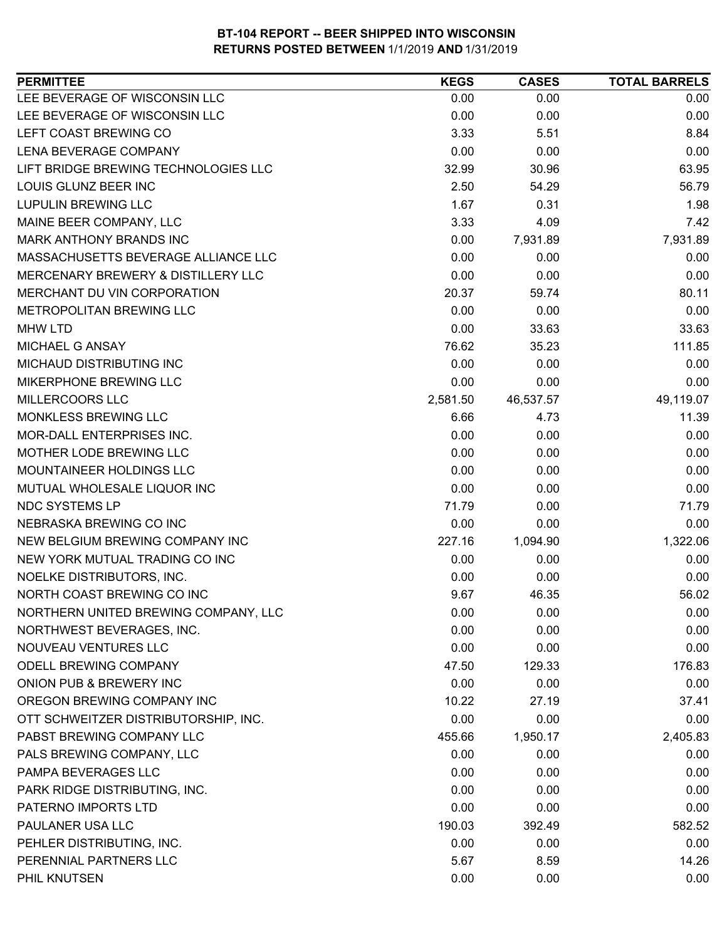| 0.00<br>0.00<br>0.00<br>0.00<br>0.00<br>0.00<br>8.84<br>3.33<br>5.51<br>0.00<br>0.00<br>0.00<br>63.95<br>32.99<br>30.96<br>2.50<br>56.79<br>54.29<br>1.67<br>1.98<br>0.31<br>3.33<br>4.09<br>7.42<br>0.00<br>7,931.89<br>7,931.89<br>0.00<br>0.00<br>0.00<br>0.00<br>0.00<br>0.00<br>80.11<br>20.37<br>59.74<br>0.00<br>0.00<br>0.00<br>0.00<br>33.63<br>33.63<br>76.62<br>35.23<br>111.85<br>0.00<br>0.00<br>0.00<br>0.00<br>0.00<br>0.00<br>49,119.07<br>2,581.50<br>46,537.57<br>11.39<br>6.66<br>4.73<br>0.00<br>0.00<br>0.00<br>0.00<br>0.00<br>0.00<br>0.00<br>0.00<br>0.00<br>0.00<br>0.00<br>0.00<br>71.79<br>71.79<br>0.00<br>0.00<br>0.00<br>0.00<br>1,322.06<br>227.16<br>1,094.90<br>0.00<br>0.00<br>0.00<br>0.00<br>0.00<br>0.00<br>NORTH COAST BREWING CO INC<br>9.67<br>56.02<br>46.35<br>NORTHERN UNITED BREWING COMPANY, LLC<br>0.00<br>0.00<br>0.00<br>0.00<br>0.00<br>NORTHWEST BEVERAGES, INC.<br>0.00<br>0.00<br>0.00<br>0.00<br>ODELL BREWING COMPANY<br>176.83<br>47.50<br>129.33<br>ONION PUB & BREWERY INC<br>0.00<br>0.00<br>0.00<br>OREGON BREWING COMPANY INC<br>37.41<br>10.22<br>27.19<br>0.00<br>OTT SCHWEITZER DISTRIBUTORSHIP, INC.<br>0.00<br>0.00<br>2,405.83<br>455.66<br>1,950.17<br>0.00<br>0.00<br>0.00<br>0.00<br>0.00<br>0.00<br>0.00<br>0.00<br>0.00<br>0.00<br>0.00<br>0.00<br>190.03<br>392.49<br>582.52<br>0.00<br>0.00<br>0.00<br>14.26<br>5.67<br>8.59<br>PHIL KNUTSEN<br>0.00<br>0.00<br>0.00 | <b>PERMITTEE</b>                     | <b>KEGS</b> | <b>CASES</b> | <b>TOTAL BARRELS</b> |
|-----------------------------------------------------------------------------------------------------------------------------------------------------------------------------------------------------------------------------------------------------------------------------------------------------------------------------------------------------------------------------------------------------------------------------------------------------------------------------------------------------------------------------------------------------------------------------------------------------------------------------------------------------------------------------------------------------------------------------------------------------------------------------------------------------------------------------------------------------------------------------------------------------------------------------------------------------------------------------------------------------------------------------------------------------------------------------------------------------------------------------------------------------------------------------------------------------------------------------------------------------------------------------------------------------------------------------------------------------------------------------------------------------------------------------------------------|--------------------------------------|-------------|--------------|----------------------|
|                                                                                                                                                                                                                                                                                                                                                                                                                                                                                                                                                                                                                                                                                                                                                                                                                                                                                                                                                                                                                                                                                                                                                                                                                                                                                                                                                                                                                                               | LEE BEVERAGE OF WISCONSIN LLC        |             |              |                      |
|                                                                                                                                                                                                                                                                                                                                                                                                                                                                                                                                                                                                                                                                                                                                                                                                                                                                                                                                                                                                                                                                                                                                                                                                                                                                                                                                                                                                                                               | LEE BEVERAGE OF WISCONSIN LLC        |             |              |                      |
|                                                                                                                                                                                                                                                                                                                                                                                                                                                                                                                                                                                                                                                                                                                                                                                                                                                                                                                                                                                                                                                                                                                                                                                                                                                                                                                                                                                                                                               | LEFT COAST BREWING CO                |             |              |                      |
|                                                                                                                                                                                                                                                                                                                                                                                                                                                                                                                                                                                                                                                                                                                                                                                                                                                                                                                                                                                                                                                                                                                                                                                                                                                                                                                                                                                                                                               | LENA BEVERAGE COMPANY                |             |              |                      |
|                                                                                                                                                                                                                                                                                                                                                                                                                                                                                                                                                                                                                                                                                                                                                                                                                                                                                                                                                                                                                                                                                                                                                                                                                                                                                                                                                                                                                                               | LIFT BRIDGE BREWING TECHNOLOGIES LLC |             |              |                      |
|                                                                                                                                                                                                                                                                                                                                                                                                                                                                                                                                                                                                                                                                                                                                                                                                                                                                                                                                                                                                                                                                                                                                                                                                                                                                                                                                                                                                                                               | LOUIS GLUNZ BEER INC                 |             |              |                      |
|                                                                                                                                                                                                                                                                                                                                                                                                                                                                                                                                                                                                                                                                                                                                                                                                                                                                                                                                                                                                                                                                                                                                                                                                                                                                                                                                                                                                                                               | <b>LUPULIN BREWING LLC</b>           |             |              |                      |
|                                                                                                                                                                                                                                                                                                                                                                                                                                                                                                                                                                                                                                                                                                                                                                                                                                                                                                                                                                                                                                                                                                                                                                                                                                                                                                                                                                                                                                               | MAINE BEER COMPANY, LLC              |             |              |                      |
|                                                                                                                                                                                                                                                                                                                                                                                                                                                                                                                                                                                                                                                                                                                                                                                                                                                                                                                                                                                                                                                                                                                                                                                                                                                                                                                                                                                                                                               | <b>MARK ANTHONY BRANDS INC</b>       |             |              |                      |
|                                                                                                                                                                                                                                                                                                                                                                                                                                                                                                                                                                                                                                                                                                                                                                                                                                                                                                                                                                                                                                                                                                                                                                                                                                                                                                                                                                                                                                               | MASSACHUSETTS BEVERAGE ALLIANCE LLC  |             |              |                      |
|                                                                                                                                                                                                                                                                                                                                                                                                                                                                                                                                                                                                                                                                                                                                                                                                                                                                                                                                                                                                                                                                                                                                                                                                                                                                                                                                                                                                                                               | MERCENARY BREWERY & DISTILLERY LLC   |             |              |                      |
|                                                                                                                                                                                                                                                                                                                                                                                                                                                                                                                                                                                                                                                                                                                                                                                                                                                                                                                                                                                                                                                                                                                                                                                                                                                                                                                                                                                                                                               | MERCHANT DU VIN CORPORATION          |             |              |                      |
|                                                                                                                                                                                                                                                                                                                                                                                                                                                                                                                                                                                                                                                                                                                                                                                                                                                                                                                                                                                                                                                                                                                                                                                                                                                                                                                                                                                                                                               | <b>METROPOLITAN BREWING LLC</b>      |             |              |                      |
|                                                                                                                                                                                                                                                                                                                                                                                                                                                                                                                                                                                                                                                                                                                                                                                                                                                                                                                                                                                                                                                                                                                                                                                                                                                                                                                                                                                                                                               | <b>MHW LTD</b>                       |             |              |                      |
|                                                                                                                                                                                                                                                                                                                                                                                                                                                                                                                                                                                                                                                                                                                                                                                                                                                                                                                                                                                                                                                                                                                                                                                                                                                                                                                                                                                                                                               | MICHAEL G ANSAY                      |             |              |                      |
|                                                                                                                                                                                                                                                                                                                                                                                                                                                                                                                                                                                                                                                                                                                                                                                                                                                                                                                                                                                                                                                                                                                                                                                                                                                                                                                                                                                                                                               | MICHAUD DISTRIBUTING INC             |             |              |                      |
|                                                                                                                                                                                                                                                                                                                                                                                                                                                                                                                                                                                                                                                                                                                                                                                                                                                                                                                                                                                                                                                                                                                                                                                                                                                                                                                                                                                                                                               | MIKERPHONE BREWING LLC               |             |              |                      |
|                                                                                                                                                                                                                                                                                                                                                                                                                                                                                                                                                                                                                                                                                                                                                                                                                                                                                                                                                                                                                                                                                                                                                                                                                                                                                                                                                                                                                                               | MILLERCOORS LLC                      |             |              |                      |
|                                                                                                                                                                                                                                                                                                                                                                                                                                                                                                                                                                                                                                                                                                                                                                                                                                                                                                                                                                                                                                                                                                                                                                                                                                                                                                                                                                                                                                               | MONKLESS BREWING LLC                 |             |              |                      |
|                                                                                                                                                                                                                                                                                                                                                                                                                                                                                                                                                                                                                                                                                                                                                                                                                                                                                                                                                                                                                                                                                                                                                                                                                                                                                                                                                                                                                                               | MOR-DALL ENTERPRISES INC.            |             |              |                      |
|                                                                                                                                                                                                                                                                                                                                                                                                                                                                                                                                                                                                                                                                                                                                                                                                                                                                                                                                                                                                                                                                                                                                                                                                                                                                                                                                                                                                                                               | MOTHER LODE BREWING LLC              |             |              |                      |
|                                                                                                                                                                                                                                                                                                                                                                                                                                                                                                                                                                                                                                                                                                                                                                                                                                                                                                                                                                                                                                                                                                                                                                                                                                                                                                                                                                                                                                               | MOUNTAINEER HOLDINGS LLC             |             |              |                      |
|                                                                                                                                                                                                                                                                                                                                                                                                                                                                                                                                                                                                                                                                                                                                                                                                                                                                                                                                                                                                                                                                                                                                                                                                                                                                                                                                                                                                                                               | MUTUAL WHOLESALE LIQUOR INC          |             |              |                      |
|                                                                                                                                                                                                                                                                                                                                                                                                                                                                                                                                                                                                                                                                                                                                                                                                                                                                                                                                                                                                                                                                                                                                                                                                                                                                                                                                                                                                                                               | <b>NDC SYSTEMS LP</b>                |             |              |                      |
|                                                                                                                                                                                                                                                                                                                                                                                                                                                                                                                                                                                                                                                                                                                                                                                                                                                                                                                                                                                                                                                                                                                                                                                                                                                                                                                                                                                                                                               | NEBRASKA BREWING CO INC              |             |              |                      |
|                                                                                                                                                                                                                                                                                                                                                                                                                                                                                                                                                                                                                                                                                                                                                                                                                                                                                                                                                                                                                                                                                                                                                                                                                                                                                                                                                                                                                                               | NEW BELGIUM BREWING COMPANY INC      |             |              |                      |
|                                                                                                                                                                                                                                                                                                                                                                                                                                                                                                                                                                                                                                                                                                                                                                                                                                                                                                                                                                                                                                                                                                                                                                                                                                                                                                                                                                                                                                               | NEW YORK MUTUAL TRADING CO INC       |             |              |                      |
|                                                                                                                                                                                                                                                                                                                                                                                                                                                                                                                                                                                                                                                                                                                                                                                                                                                                                                                                                                                                                                                                                                                                                                                                                                                                                                                                                                                                                                               | NOELKE DISTRIBUTORS, INC.            |             |              |                      |
|                                                                                                                                                                                                                                                                                                                                                                                                                                                                                                                                                                                                                                                                                                                                                                                                                                                                                                                                                                                                                                                                                                                                                                                                                                                                                                                                                                                                                                               |                                      |             |              |                      |
|                                                                                                                                                                                                                                                                                                                                                                                                                                                                                                                                                                                                                                                                                                                                                                                                                                                                                                                                                                                                                                                                                                                                                                                                                                                                                                                                                                                                                                               |                                      |             |              |                      |
|                                                                                                                                                                                                                                                                                                                                                                                                                                                                                                                                                                                                                                                                                                                                                                                                                                                                                                                                                                                                                                                                                                                                                                                                                                                                                                                                                                                                                                               |                                      |             |              |                      |
|                                                                                                                                                                                                                                                                                                                                                                                                                                                                                                                                                                                                                                                                                                                                                                                                                                                                                                                                                                                                                                                                                                                                                                                                                                                                                                                                                                                                                                               | NOUVEAU VENTURES LLC                 |             |              |                      |
|                                                                                                                                                                                                                                                                                                                                                                                                                                                                                                                                                                                                                                                                                                                                                                                                                                                                                                                                                                                                                                                                                                                                                                                                                                                                                                                                                                                                                                               |                                      |             |              |                      |
|                                                                                                                                                                                                                                                                                                                                                                                                                                                                                                                                                                                                                                                                                                                                                                                                                                                                                                                                                                                                                                                                                                                                                                                                                                                                                                                                                                                                                                               |                                      |             |              |                      |
|                                                                                                                                                                                                                                                                                                                                                                                                                                                                                                                                                                                                                                                                                                                                                                                                                                                                                                                                                                                                                                                                                                                                                                                                                                                                                                                                                                                                                                               |                                      |             |              |                      |
|                                                                                                                                                                                                                                                                                                                                                                                                                                                                                                                                                                                                                                                                                                                                                                                                                                                                                                                                                                                                                                                                                                                                                                                                                                                                                                                                                                                                                                               |                                      |             |              |                      |
|                                                                                                                                                                                                                                                                                                                                                                                                                                                                                                                                                                                                                                                                                                                                                                                                                                                                                                                                                                                                                                                                                                                                                                                                                                                                                                                                                                                                                                               | PABST BREWING COMPANY LLC            |             |              |                      |
|                                                                                                                                                                                                                                                                                                                                                                                                                                                                                                                                                                                                                                                                                                                                                                                                                                                                                                                                                                                                                                                                                                                                                                                                                                                                                                                                                                                                                                               | PALS BREWING COMPANY, LLC            |             |              |                      |
|                                                                                                                                                                                                                                                                                                                                                                                                                                                                                                                                                                                                                                                                                                                                                                                                                                                                                                                                                                                                                                                                                                                                                                                                                                                                                                                                                                                                                                               | PAMPA BEVERAGES LLC                  |             |              |                      |
|                                                                                                                                                                                                                                                                                                                                                                                                                                                                                                                                                                                                                                                                                                                                                                                                                                                                                                                                                                                                                                                                                                                                                                                                                                                                                                                                                                                                                                               | PARK RIDGE DISTRIBUTING, INC.        |             |              |                      |
|                                                                                                                                                                                                                                                                                                                                                                                                                                                                                                                                                                                                                                                                                                                                                                                                                                                                                                                                                                                                                                                                                                                                                                                                                                                                                                                                                                                                                                               | PATERNO IMPORTS LTD                  |             |              |                      |
|                                                                                                                                                                                                                                                                                                                                                                                                                                                                                                                                                                                                                                                                                                                                                                                                                                                                                                                                                                                                                                                                                                                                                                                                                                                                                                                                                                                                                                               | PAULANER USA LLC                     |             |              |                      |
|                                                                                                                                                                                                                                                                                                                                                                                                                                                                                                                                                                                                                                                                                                                                                                                                                                                                                                                                                                                                                                                                                                                                                                                                                                                                                                                                                                                                                                               | PEHLER DISTRIBUTING, INC.            |             |              |                      |
|                                                                                                                                                                                                                                                                                                                                                                                                                                                                                                                                                                                                                                                                                                                                                                                                                                                                                                                                                                                                                                                                                                                                                                                                                                                                                                                                                                                                                                               | PERENNIAL PARTNERS LLC               |             |              |                      |
|                                                                                                                                                                                                                                                                                                                                                                                                                                                                                                                                                                                                                                                                                                                                                                                                                                                                                                                                                                                                                                                                                                                                                                                                                                                                                                                                                                                                                                               |                                      |             |              |                      |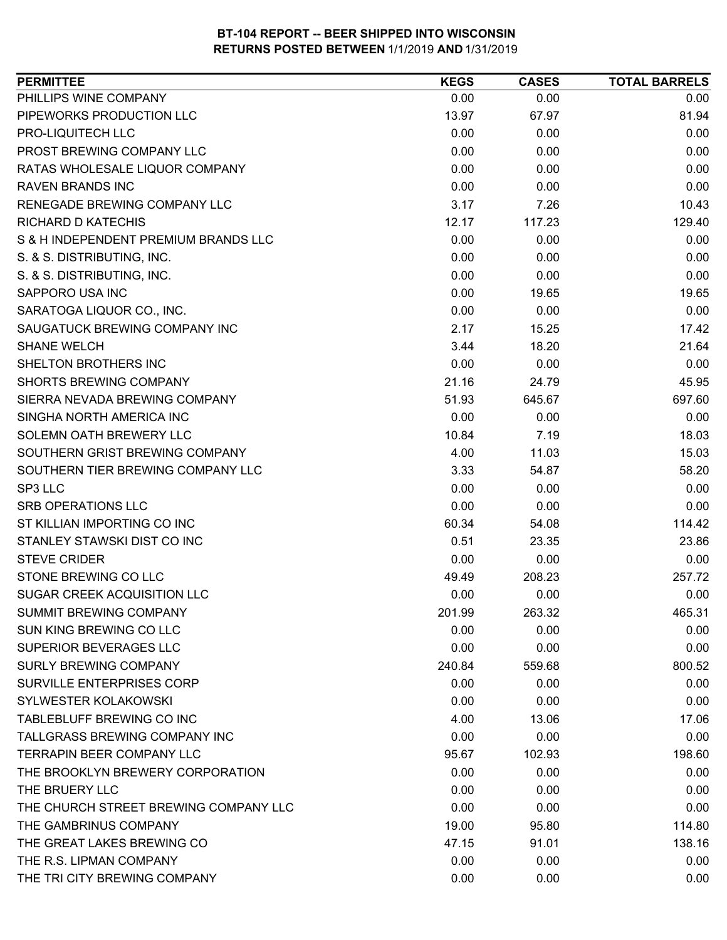| PHILLIPS WINE COMPANY<br>0.00<br>0.00<br>0.00<br>PIPEWORKS PRODUCTION LLC<br>13.97<br>67.97<br>81.94<br>PRO-LIQUITECH LLC<br>0.00<br>0.00<br>0.00<br>PROST BREWING COMPANY LLC<br>0.00<br>0.00<br>0.00<br>RATAS WHOLESALE LIQUOR COMPANY<br>0.00<br>0.00<br>0.00<br><b>RAVEN BRANDS INC</b><br>0.00<br>0.00<br>0.00<br><b>RENEGADE BREWING COMPANY LLC</b><br>3.17<br>7.26<br>10.43<br><b>RICHARD D KATECHIS</b><br>12.17<br>117.23<br>129.40<br>0.00<br>0.00<br>0.00<br>S & H INDEPENDENT PREMIUM BRANDS LLC<br>0.00<br>S. & S. DISTRIBUTING, INC.<br>0.00<br>0.00<br>0.00<br>S. & S. DISTRIBUTING, INC.<br>0.00<br>0.00<br>0.00<br>SAPPORO USA INC<br>19.65<br>19.65<br>0.00<br>0.00<br>SARATOGA LIQUOR CO., INC.<br>0.00<br>SAUGATUCK BREWING COMPANY INC<br>2.17<br>17.42<br>15.25<br><b>SHANE WELCH</b><br>3.44<br>18.20<br>21.64<br>0.00<br>0.00<br>SHELTON BROTHERS INC<br>0.00<br><b>SHORTS BREWING COMPANY</b><br>21.16<br>45.95<br>24.79<br>697.60<br>SIERRA NEVADA BREWING COMPANY<br>51.93<br>645.67<br>SINGHA NORTH AMERICA INC<br>0.00<br>0.00<br>0.00<br>10.84<br>18.03<br>SOLEMN OATH BREWERY LLC<br>7.19<br>SOUTHERN GRIST BREWING COMPANY<br>4.00<br>15.03<br>11.03<br>SOUTHERN TIER BREWING COMPANY LLC<br>58.20<br>3.33<br>54.87<br>SP3 LLC<br>0.00<br>0.00<br>0.00<br><b>SRB OPERATIONS LLC</b><br>0.00<br>0.00<br>0.00<br>ST KILLIAN IMPORTING CO INC<br>114.42<br>60.34<br>54.08<br>STANLEY STAWSKI DIST CO INC<br>0.51<br>23.86<br>23.35<br><b>STEVE CRIDER</b><br>0.00<br>0.00<br>0.00<br>STONE BREWING CO LLC<br>208.23<br>257.72<br>49.49<br>SUGAR CREEK ACQUISITION LLC<br>0.00<br>0.00<br>0.00<br><b>SUMMIT BREWING COMPANY</b><br>263.32<br>465.31<br>201.99<br>SUN KING BREWING CO LLC<br>0.00<br>0.00<br>0.00<br><b>SUPERIOR BEVERAGES LLC</b><br>0.00<br>0.00<br>0.00<br><b>SURLY BREWING COMPANY</b><br>240.84<br>559.68<br>800.52<br><b>SURVILLE ENTERPRISES CORP</b><br>0.00<br>0.00<br>0.00<br>SYLWESTER KOLAKOWSKI<br>0.00<br>0.00<br>0.00<br>TABLEBLUFF BREWING CO INC<br>17.06<br>4.00<br>13.06<br>TALLGRASS BREWING COMPANY INC<br>0.00<br>0.00<br>0.00<br><b>TERRAPIN BEER COMPANY LLC</b><br>95.67<br>102.93<br>198.60<br>THE BROOKLYN BREWERY CORPORATION<br>0.00<br>0.00<br>0.00<br>THE BRUERY LLC<br>0.00<br>0.00<br>0.00<br>THE CHURCH STREET BREWING COMPANY LLC<br>0.00<br>0.00<br>0.00<br>THE GAMBRINUS COMPANY<br>19.00<br>95.80<br>114.80<br>THE GREAT LAKES BREWING CO<br>47.15<br>138.16<br>91.01<br>THE R.S. LIPMAN COMPANY<br>0.00<br>0.00<br>0.00 | <b>PERMITTEE</b>             | <b>KEGS</b> | <b>CASES</b> | <b>TOTAL BARRELS</b> |
|------------------------------------------------------------------------------------------------------------------------------------------------------------------------------------------------------------------------------------------------------------------------------------------------------------------------------------------------------------------------------------------------------------------------------------------------------------------------------------------------------------------------------------------------------------------------------------------------------------------------------------------------------------------------------------------------------------------------------------------------------------------------------------------------------------------------------------------------------------------------------------------------------------------------------------------------------------------------------------------------------------------------------------------------------------------------------------------------------------------------------------------------------------------------------------------------------------------------------------------------------------------------------------------------------------------------------------------------------------------------------------------------------------------------------------------------------------------------------------------------------------------------------------------------------------------------------------------------------------------------------------------------------------------------------------------------------------------------------------------------------------------------------------------------------------------------------------------------------------------------------------------------------------------------------------------------------------------------------------------------------------------------------------------------------------------------------------------------------------------------------------------------------------------------------------------------------------------------------------------------------------------------------------------------------------------------------------------------------------------------------------------------------------------------------------------------------------------------------------------------------------|------------------------------|-------------|--------------|----------------------|
|                                                                                                                                                                                                                                                                                                                                                                                                                                                                                                                                                                                                                                                                                                                                                                                                                                                                                                                                                                                                                                                                                                                                                                                                                                                                                                                                                                                                                                                                                                                                                                                                                                                                                                                                                                                                                                                                                                                                                                                                                                                                                                                                                                                                                                                                                                                                                                                                                                                                                                            |                              |             |              |                      |
|                                                                                                                                                                                                                                                                                                                                                                                                                                                                                                                                                                                                                                                                                                                                                                                                                                                                                                                                                                                                                                                                                                                                                                                                                                                                                                                                                                                                                                                                                                                                                                                                                                                                                                                                                                                                                                                                                                                                                                                                                                                                                                                                                                                                                                                                                                                                                                                                                                                                                                            |                              |             |              |                      |
|                                                                                                                                                                                                                                                                                                                                                                                                                                                                                                                                                                                                                                                                                                                                                                                                                                                                                                                                                                                                                                                                                                                                                                                                                                                                                                                                                                                                                                                                                                                                                                                                                                                                                                                                                                                                                                                                                                                                                                                                                                                                                                                                                                                                                                                                                                                                                                                                                                                                                                            |                              |             |              |                      |
|                                                                                                                                                                                                                                                                                                                                                                                                                                                                                                                                                                                                                                                                                                                                                                                                                                                                                                                                                                                                                                                                                                                                                                                                                                                                                                                                                                                                                                                                                                                                                                                                                                                                                                                                                                                                                                                                                                                                                                                                                                                                                                                                                                                                                                                                                                                                                                                                                                                                                                            |                              |             |              |                      |
|                                                                                                                                                                                                                                                                                                                                                                                                                                                                                                                                                                                                                                                                                                                                                                                                                                                                                                                                                                                                                                                                                                                                                                                                                                                                                                                                                                                                                                                                                                                                                                                                                                                                                                                                                                                                                                                                                                                                                                                                                                                                                                                                                                                                                                                                                                                                                                                                                                                                                                            |                              |             |              |                      |
|                                                                                                                                                                                                                                                                                                                                                                                                                                                                                                                                                                                                                                                                                                                                                                                                                                                                                                                                                                                                                                                                                                                                                                                                                                                                                                                                                                                                                                                                                                                                                                                                                                                                                                                                                                                                                                                                                                                                                                                                                                                                                                                                                                                                                                                                                                                                                                                                                                                                                                            |                              |             |              |                      |
|                                                                                                                                                                                                                                                                                                                                                                                                                                                                                                                                                                                                                                                                                                                                                                                                                                                                                                                                                                                                                                                                                                                                                                                                                                                                                                                                                                                                                                                                                                                                                                                                                                                                                                                                                                                                                                                                                                                                                                                                                                                                                                                                                                                                                                                                                                                                                                                                                                                                                                            |                              |             |              |                      |
|                                                                                                                                                                                                                                                                                                                                                                                                                                                                                                                                                                                                                                                                                                                                                                                                                                                                                                                                                                                                                                                                                                                                                                                                                                                                                                                                                                                                                                                                                                                                                                                                                                                                                                                                                                                                                                                                                                                                                                                                                                                                                                                                                                                                                                                                                                                                                                                                                                                                                                            |                              |             |              |                      |
|                                                                                                                                                                                                                                                                                                                                                                                                                                                                                                                                                                                                                                                                                                                                                                                                                                                                                                                                                                                                                                                                                                                                                                                                                                                                                                                                                                                                                                                                                                                                                                                                                                                                                                                                                                                                                                                                                                                                                                                                                                                                                                                                                                                                                                                                                                                                                                                                                                                                                                            |                              |             |              |                      |
|                                                                                                                                                                                                                                                                                                                                                                                                                                                                                                                                                                                                                                                                                                                                                                                                                                                                                                                                                                                                                                                                                                                                                                                                                                                                                                                                                                                                                                                                                                                                                                                                                                                                                                                                                                                                                                                                                                                                                                                                                                                                                                                                                                                                                                                                                                                                                                                                                                                                                                            |                              |             |              |                      |
|                                                                                                                                                                                                                                                                                                                                                                                                                                                                                                                                                                                                                                                                                                                                                                                                                                                                                                                                                                                                                                                                                                                                                                                                                                                                                                                                                                                                                                                                                                                                                                                                                                                                                                                                                                                                                                                                                                                                                                                                                                                                                                                                                                                                                                                                                                                                                                                                                                                                                                            |                              |             |              |                      |
|                                                                                                                                                                                                                                                                                                                                                                                                                                                                                                                                                                                                                                                                                                                                                                                                                                                                                                                                                                                                                                                                                                                                                                                                                                                                                                                                                                                                                                                                                                                                                                                                                                                                                                                                                                                                                                                                                                                                                                                                                                                                                                                                                                                                                                                                                                                                                                                                                                                                                                            |                              |             |              |                      |
|                                                                                                                                                                                                                                                                                                                                                                                                                                                                                                                                                                                                                                                                                                                                                                                                                                                                                                                                                                                                                                                                                                                                                                                                                                                                                                                                                                                                                                                                                                                                                                                                                                                                                                                                                                                                                                                                                                                                                                                                                                                                                                                                                                                                                                                                                                                                                                                                                                                                                                            |                              |             |              |                      |
|                                                                                                                                                                                                                                                                                                                                                                                                                                                                                                                                                                                                                                                                                                                                                                                                                                                                                                                                                                                                                                                                                                                                                                                                                                                                                                                                                                                                                                                                                                                                                                                                                                                                                                                                                                                                                                                                                                                                                                                                                                                                                                                                                                                                                                                                                                                                                                                                                                                                                                            |                              |             |              |                      |
|                                                                                                                                                                                                                                                                                                                                                                                                                                                                                                                                                                                                                                                                                                                                                                                                                                                                                                                                                                                                                                                                                                                                                                                                                                                                                                                                                                                                                                                                                                                                                                                                                                                                                                                                                                                                                                                                                                                                                                                                                                                                                                                                                                                                                                                                                                                                                                                                                                                                                                            |                              |             |              |                      |
|                                                                                                                                                                                                                                                                                                                                                                                                                                                                                                                                                                                                                                                                                                                                                                                                                                                                                                                                                                                                                                                                                                                                                                                                                                                                                                                                                                                                                                                                                                                                                                                                                                                                                                                                                                                                                                                                                                                                                                                                                                                                                                                                                                                                                                                                                                                                                                                                                                                                                                            |                              |             |              |                      |
|                                                                                                                                                                                                                                                                                                                                                                                                                                                                                                                                                                                                                                                                                                                                                                                                                                                                                                                                                                                                                                                                                                                                                                                                                                                                                                                                                                                                                                                                                                                                                                                                                                                                                                                                                                                                                                                                                                                                                                                                                                                                                                                                                                                                                                                                                                                                                                                                                                                                                                            |                              |             |              |                      |
|                                                                                                                                                                                                                                                                                                                                                                                                                                                                                                                                                                                                                                                                                                                                                                                                                                                                                                                                                                                                                                                                                                                                                                                                                                                                                                                                                                                                                                                                                                                                                                                                                                                                                                                                                                                                                                                                                                                                                                                                                                                                                                                                                                                                                                                                                                                                                                                                                                                                                                            |                              |             |              |                      |
|                                                                                                                                                                                                                                                                                                                                                                                                                                                                                                                                                                                                                                                                                                                                                                                                                                                                                                                                                                                                                                                                                                                                                                                                                                                                                                                                                                                                                                                                                                                                                                                                                                                                                                                                                                                                                                                                                                                                                                                                                                                                                                                                                                                                                                                                                                                                                                                                                                                                                                            |                              |             |              |                      |
|                                                                                                                                                                                                                                                                                                                                                                                                                                                                                                                                                                                                                                                                                                                                                                                                                                                                                                                                                                                                                                                                                                                                                                                                                                                                                                                                                                                                                                                                                                                                                                                                                                                                                                                                                                                                                                                                                                                                                                                                                                                                                                                                                                                                                                                                                                                                                                                                                                                                                                            |                              |             |              |                      |
|                                                                                                                                                                                                                                                                                                                                                                                                                                                                                                                                                                                                                                                                                                                                                                                                                                                                                                                                                                                                                                                                                                                                                                                                                                                                                                                                                                                                                                                                                                                                                                                                                                                                                                                                                                                                                                                                                                                                                                                                                                                                                                                                                                                                                                                                                                                                                                                                                                                                                                            |                              |             |              |                      |
|                                                                                                                                                                                                                                                                                                                                                                                                                                                                                                                                                                                                                                                                                                                                                                                                                                                                                                                                                                                                                                                                                                                                                                                                                                                                                                                                                                                                                                                                                                                                                                                                                                                                                                                                                                                                                                                                                                                                                                                                                                                                                                                                                                                                                                                                                                                                                                                                                                                                                                            |                              |             |              |                      |
|                                                                                                                                                                                                                                                                                                                                                                                                                                                                                                                                                                                                                                                                                                                                                                                                                                                                                                                                                                                                                                                                                                                                                                                                                                                                                                                                                                                                                                                                                                                                                                                                                                                                                                                                                                                                                                                                                                                                                                                                                                                                                                                                                                                                                                                                                                                                                                                                                                                                                                            |                              |             |              |                      |
|                                                                                                                                                                                                                                                                                                                                                                                                                                                                                                                                                                                                                                                                                                                                                                                                                                                                                                                                                                                                                                                                                                                                                                                                                                                                                                                                                                                                                                                                                                                                                                                                                                                                                                                                                                                                                                                                                                                                                                                                                                                                                                                                                                                                                                                                                                                                                                                                                                                                                                            |                              |             |              |                      |
|                                                                                                                                                                                                                                                                                                                                                                                                                                                                                                                                                                                                                                                                                                                                                                                                                                                                                                                                                                                                                                                                                                                                                                                                                                                                                                                                                                                                                                                                                                                                                                                                                                                                                                                                                                                                                                                                                                                                                                                                                                                                                                                                                                                                                                                                                                                                                                                                                                                                                                            |                              |             |              |                      |
|                                                                                                                                                                                                                                                                                                                                                                                                                                                                                                                                                                                                                                                                                                                                                                                                                                                                                                                                                                                                                                                                                                                                                                                                                                                                                                                                                                                                                                                                                                                                                                                                                                                                                                                                                                                                                                                                                                                                                                                                                                                                                                                                                                                                                                                                                                                                                                                                                                                                                                            |                              |             |              |                      |
|                                                                                                                                                                                                                                                                                                                                                                                                                                                                                                                                                                                                                                                                                                                                                                                                                                                                                                                                                                                                                                                                                                                                                                                                                                                                                                                                                                                                                                                                                                                                                                                                                                                                                                                                                                                                                                                                                                                                                                                                                                                                                                                                                                                                                                                                                                                                                                                                                                                                                                            |                              |             |              |                      |
|                                                                                                                                                                                                                                                                                                                                                                                                                                                                                                                                                                                                                                                                                                                                                                                                                                                                                                                                                                                                                                                                                                                                                                                                                                                                                                                                                                                                                                                                                                                                                                                                                                                                                                                                                                                                                                                                                                                                                                                                                                                                                                                                                                                                                                                                                                                                                                                                                                                                                                            |                              |             |              |                      |
|                                                                                                                                                                                                                                                                                                                                                                                                                                                                                                                                                                                                                                                                                                                                                                                                                                                                                                                                                                                                                                                                                                                                                                                                                                                                                                                                                                                                                                                                                                                                                                                                                                                                                                                                                                                                                                                                                                                                                                                                                                                                                                                                                                                                                                                                                                                                                                                                                                                                                                            |                              |             |              |                      |
|                                                                                                                                                                                                                                                                                                                                                                                                                                                                                                                                                                                                                                                                                                                                                                                                                                                                                                                                                                                                                                                                                                                                                                                                                                                                                                                                                                                                                                                                                                                                                                                                                                                                                                                                                                                                                                                                                                                                                                                                                                                                                                                                                                                                                                                                                                                                                                                                                                                                                                            |                              |             |              |                      |
|                                                                                                                                                                                                                                                                                                                                                                                                                                                                                                                                                                                                                                                                                                                                                                                                                                                                                                                                                                                                                                                                                                                                                                                                                                                                                                                                                                                                                                                                                                                                                                                                                                                                                                                                                                                                                                                                                                                                                                                                                                                                                                                                                                                                                                                                                                                                                                                                                                                                                                            |                              |             |              |                      |
|                                                                                                                                                                                                                                                                                                                                                                                                                                                                                                                                                                                                                                                                                                                                                                                                                                                                                                                                                                                                                                                                                                                                                                                                                                                                                                                                                                                                                                                                                                                                                                                                                                                                                                                                                                                                                                                                                                                                                                                                                                                                                                                                                                                                                                                                                                                                                                                                                                                                                                            |                              |             |              |                      |
|                                                                                                                                                                                                                                                                                                                                                                                                                                                                                                                                                                                                                                                                                                                                                                                                                                                                                                                                                                                                                                                                                                                                                                                                                                                                                                                                                                                                                                                                                                                                                                                                                                                                                                                                                                                                                                                                                                                                                                                                                                                                                                                                                                                                                                                                                                                                                                                                                                                                                                            |                              |             |              |                      |
|                                                                                                                                                                                                                                                                                                                                                                                                                                                                                                                                                                                                                                                                                                                                                                                                                                                                                                                                                                                                                                                                                                                                                                                                                                                                                                                                                                                                                                                                                                                                                                                                                                                                                                                                                                                                                                                                                                                                                                                                                                                                                                                                                                                                                                                                                                                                                                                                                                                                                                            |                              |             |              |                      |
|                                                                                                                                                                                                                                                                                                                                                                                                                                                                                                                                                                                                                                                                                                                                                                                                                                                                                                                                                                                                                                                                                                                                                                                                                                                                                                                                                                                                                                                                                                                                                                                                                                                                                                                                                                                                                                                                                                                                                                                                                                                                                                                                                                                                                                                                                                                                                                                                                                                                                                            |                              |             |              |                      |
|                                                                                                                                                                                                                                                                                                                                                                                                                                                                                                                                                                                                                                                                                                                                                                                                                                                                                                                                                                                                                                                                                                                                                                                                                                                                                                                                                                                                                                                                                                                                                                                                                                                                                                                                                                                                                                                                                                                                                                                                                                                                                                                                                                                                                                                                                                                                                                                                                                                                                                            |                              |             |              |                      |
|                                                                                                                                                                                                                                                                                                                                                                                                                                                                                                                                                                                                                                                                                                                                                                                                                                                                                                                                                                                                                                                                                                                                                                                                                                                                                                                                                                                                                                                                                                                                                                                                                                                                                                                                                                                                                                                                                                                                                                                                                                                                                                                                                                                                                                                                                                                                                                                                                                                                                                            |                              |             |              |                      |
|                                                                                                                                                                                                                                                                                                                                                                                                                                                                                                                                                                                                                                                                                                                                                                                                                                                                                                                                                                                                                                                                                                                                                                                                                                                                                                                                                                                                                                                                                                                                                                                                                                                                                                                                                                                                                                                                                                                                                                                                                                                                                                                                                                                                                                                                                                                                                                                                                                                                                                            |                              |             |              |                      |
|                                                                                                                                                                                                                                                                                                                                                                                                                                                                                                                                                                                                                                                                                                                                                                                                                                                                                                                                                                                                                                                                                                                                                                                                                                                                                                                                                                                                                                                                                                                                                                                                                                                                                                                                                                                                                                                                                                                                                                                                                                                                                                                                                                                                                                                                                                                                                                                                                                                                                                            |                              |             |              |                      |
|                                                                                                                                                                                                                                                                                                                                                                                                                                                                                                                                                                                                                                                                                                                                                                                                                                                                                                                                                                                                                                                                                                                                                                                                                                                                                                                                                                                                                                                                                                                                                                                                                                                                                                                                                                                                                                                                                                                                                                                                                                                                                                                                                                                                                                                                                                                                                                                                                                                                                                            |                              |             |              |                      |
|                                                                                                                                                                                                                                                                                                                                                                                                                                                                                                                                                                                                                                                                                                                                                                                                                                                                                                                                                                                                                                                                                                                                                                                                                                                                                                                                                                                                                                                                                                                                                                                                                                                                                                                                                                                                                                                                                                                                                                                                                                                                                                                                                                                                                                                                                                                                                                                                                                                                                                            |                              |             |              |                      |
|                                                                                                                                                                                                                                                                                                                                                                                                                                                                                                                                                                                                                                                                                                                                                                                                                                                                                                                                                                                                                                                                                                                                                                                                                                                                                                                                                                                                                                                                                                                                                                                                                                                                                                                                                                                                                                                                                                                                                                                                                                                                                                                                                                                                                                                                                                                                                                                                                                                                                                            |                              |             |              |                      |
|                                                                                                                                                                                                                                                                                                                                                                                                                                                                                                                                                                                                                                                                                                                                                                                                                                                                                                                                                                                                                                                                                                                                                                                                                                                                                                                                                                                                                                                                                                                                                                                                                                                                                                                                                                                                                                                                                                                                                                                                                                                                                                                                                                                                                                                                                                                                                                                                                                                                                                            |                              |             |              |                      |
|                                                                                                                                                                                                                                                                                                                                                                                                                                                                                                                                                                                                                                                                                                                                                                                                                                                                                                                                                                                                                                                                                                                                                                                                                                                                                                                                                                                                                                                                                                                                                                                                                                                                                                                                                                                                                                                                                                                                                                                                                                                                                                                                                                                                                                                                                                                                                                                                                                                                                                            |                              |             |              |                      |
|                                                                                                                                                                                                                                                                                                                                                                                                                                                                                                                                                                                                                                                                                                                                                                                                                                                                                                                                                                                                                                                                                                                                                                                                                                                                                                                                                                                                                                                                                                                                                                                                                                                                                                                                                                                                                                                                                                                                                                                                                                                                                                                                                                                                                                                                                                                                                                                                                                                                                                            | THE TRI CITY BREWING COMPANY | 0.00        | 0.00         | 0.00                 |